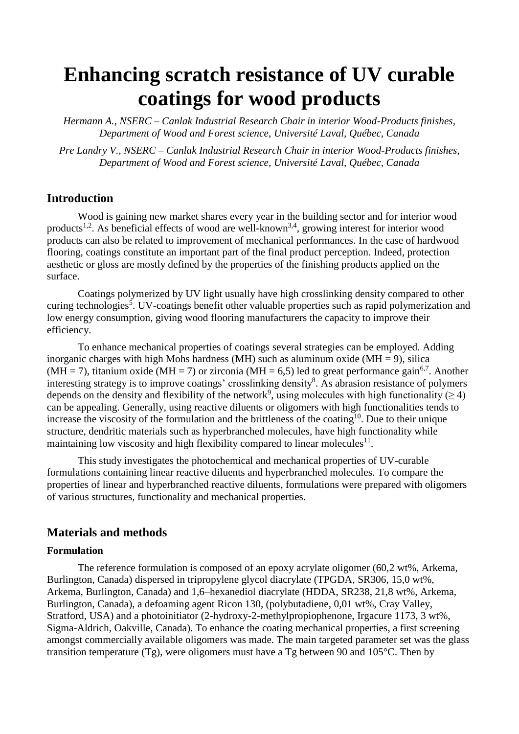# **Enhancing scratch resistance of UV curable coatings for wood products**

*Hermann A., NSERC – Canlak Industrial Research Chair in interior Wood-Products finishes, Department of Wood and Forest science, Université Laval, Québec, Canada*

*Pre Landry V., NSERC – Canlak Industrial Research Chair in interior Wood-Products finishes, Department of Wood and Forest science, Université Laval, Québec, Canada*

# **Introduction**

Wood is gaining new market shares every year in the building sector and for interior wood products<sup>1,2</sup>. As beneficial effects of wood are well-known<sup>3,4</sup>, growing interest for interior wood products can also be related to improvement of mechanical performances. In the case of hardwood flooring, coatings constitute an important part of the final product perception. Indeed, protection aesthetic or gloss are mostly defined by the properties of the finishing products applied on the surface.

Coatings polymerized by UV light usually have high crosslinking density compared to other curing technologies<sup>5</sup>. UV-coatings benefit other valuable properties such as rapid polymerization and low energy consumption, giving wood flooring manufacturers the capacity to improve their efficiency.

To enhance mechanical properties of coatings several strategies can be employed. Adding inorganic charges with high Mohs hardness (MH) such as aluminum oxide (MH  $= 9$ ), silica (MH = 7), titanium oxide (MH = 7) or zirconia (MH = 6,5) led to great performance gain<sup>6,7</sup>. Another interesting strategy is to improve coatings' crosslinking density<sup>8</sup>. As abrasion resistance of polymers depends on the density and flexibility of the network<sup>9</sup>, using molecules with high functionality ( $\geq$  4) can be appealing. Generally, using reactive diluents or oligomers with high functionalities tends to increase the viscosity of the formulation and the brittleness of the coating<sup>10</sup>. Due to their unique structure, dendritic materials such as hyperbranched molecules, have high functionality while maintaining low viscosity and high flexibility compared to linear molecules $^{11}$ .

This study investigates the photochemical and mechanical properties of UV-curable formulations containing linear reactive diluents and hyperbranched molecules. To compare the properties of linear and hyperbranched reactive diluents, formulations were prepared with oligomers of various structures, functionality and mechanical properties.

# **Materials and methods**

## **Formulation**

The reference formulation is composed of an epoxy acrylate oligomer (60,2 wt%, Arkema, Burlington, Canada) dispersed in tripropylene glycol diacrylate (TPGDA, SR306, 15,0 wt%, Arkema, Burlington, Canada) and 1,6–hexanediol diacrylate (HDDA, SR238, 21,8 wt%, Arkema, Burlington, Canada), a defoaming agent Ricon 130, (polybutadiene, 0,01 wt%, Cray Valley, Stratford, USA) and a photoinitiator (2-hydroxy-2-methylpropiophenone, Irgacure 1173, 3 wt%, Sigma-Aldrich, Oakville, Canada). To enhance the coating mechanical properties, a first screening amongst commercially available oligomers was made. The main targeted parameter set was the glass transition temperature (Tg), were oligomers must have a Tg between 90 and 105 $^{\circ}$ C. Then by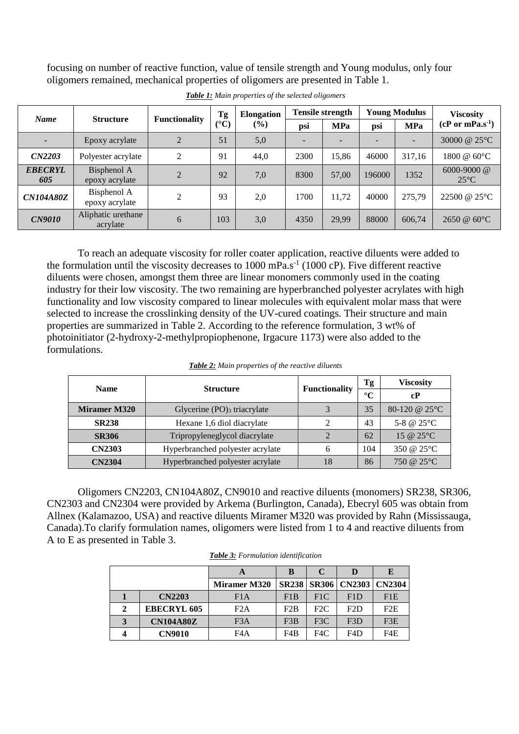<span id="page-1-0"></span>focusing on number of reactive function, value of tensile strength and Young modulus, only four oligomers remained, mechanical properties of oligomers are presented in [Table 1.](#page-1-0)

|                          | <b>Structure</b>               | <b>Functionality</b> | Tg<br>$({}^{\circ}C)$ | <b>Elongation</b><br>$(\%)$ | <b>Tensile strength</b> |            | <b>Young Modulus</b> |            | <b>Viscosity</b>                 |
|--------------------------|--------------------------------|----------------------|-----------------------|-----------------------------|-------------------------|------------|----------------------|------------|----------------------------------|
| <b>Name</b>              |                                |                      |                       |                             | psi                     | <b>MPa</b> | psi                  | <b>MPa</b> | $(cP or mPa.s-1)$                |
| $\overline{\phantom{0}}$ | Epoxy acrylate                 | $\overline{2}$       | 51                    | 5,0                         |                         |            |                      |            | 30000 @ 25°C                     |
| CN2203                   | Polyester acrylate             | 2                    | 91                    | 44.0                        | 2300                    | 15,86      | 46000                | 317,16     | 1800 @ 60°C                      |
| <b>EBECRYL</b><br>605    | Bisphenol A<br>epoxy acrylate  | $\gamma$             | 92                    | 7,0                         | 8300                    | 57,00      | 196000               | 1352       | $6000 - 9000$ @<br>$25^{\circ}C$ |
| <b>CN104A80Z</b>         | Bisphenol A<br>epoxy acrylate  | $\mathfrak{D}$       | 93                    | 2,0                         | 1700                    | 11,72      | 40000                | 275,79     | 22500 @ 25°C                     |
| <b>CN9010</b>            | Aliphatic urethane<br>acrylate | 6                    | 103                   | 3,0                         | 4350                    | 29,99      | 88000                | 606,74     | 2650 @ 60°C                      |

*Table 1: Main properties of the selected oligomers*

To reach an adequate viscosity for roller coater application, reactive diluents were added to the formulation until the viscosity decreases to 1000 mPa.s<sup>-1</sup> (1000 cP). Five different reactive diluents were chosen, amongst them three are linear monomers commonly used in the coating industry for their low viscosity. The two remaining are hyperbranched polyester acrylates with high functionality and low viscosity compared to linear molecules with equivalent molar mass that were selected to increase the crosslinking density of the UV-cured coatings. Their structure and main properties are summarized in [Table 2.](#page-1-1) According to the reference formulation, 3 wt% of photoinitiator (2-hydroxy-2-methylpropiophenone, Irgacure 1173) were also added to the formulations.

<span id="page-1-1"></span>

| <b>Name</b>         | <b>Structure</b>                          | <b>Functionality</b> | Tg              | <b>Viscosity</b>        |
|---------------------|-------------------------------------------|----------------------|-----------------|-------------------------|
|                     |                                           |                      | $\rm ^{\circ}C$ | cP                      |
| <b>Miramer M320</b> | Glycerine $(PO)$ <sub>3</sub> triacrylate |                      | 35              | 80-120 @ $25^{\circ}$ C |
| <b>SR238</b>        | Hexane 1,6 diol diacrylate                |                      | 43              | 5-8 @ $25^{\circ}$ C    |
| <b>SR306</b>        | Tripropyleneglycol diacrylate             |                      | 62              | 15 @ $25^{\circ}$ C     |
| <b>CN2303</b>       | Hyperbranched polyester acrylate          | 6                    | 104             | 350 @ $25^{\circ}$ C    |
| <b>CN2304</b>       | Hyperbranched polyester acrylate          | 18                   | 86              | 750 @ $25^{\circ}$ C    |

Oligomers CN2203, CN104A80Z, CN9010 and reactive diluents (monomers) SR238, SR306, CN2303 and CN2304 were provided by Arkema (Burlington, Canada), Ebecryl 605 was obtain from Allnex (Kalamazoo, USA) and reactive diluents Miramer M320 was provided by Rahn (Mississauga, Canada).To clarify formulation names, oligomers were listed from 1 to 4 and reactive diluents from A to E as presented in [Table 3.](#page-1-2)

<span id="page-1-2"></span>

|   |                    |                     |     |     |                                 | E   |
|---|--------------------|---------------------|-----|-----|---------------------------------|-----|
|   |                    | <b>Miramer M320</b> |     |     | SR238   SR306   CN2303   CN2304 |     |
|   | <b>CN2203</b>      | F1A                 | F1B | F1C | F1D                             | F1E |
| 2 | <b>EBECRYL 605</b> | F2A                 | E2B | F2C | F2D                             | F2E |
|   | <b>CN104A80Z</b>   | F <sub>3</sub> A    | F3B | F3C | F3D                             | F3E |
|   | <b>CN9010</b>      | F4A                 | F4B | F4C | F4D                             | F4E |

*Table 3: Formulation identification*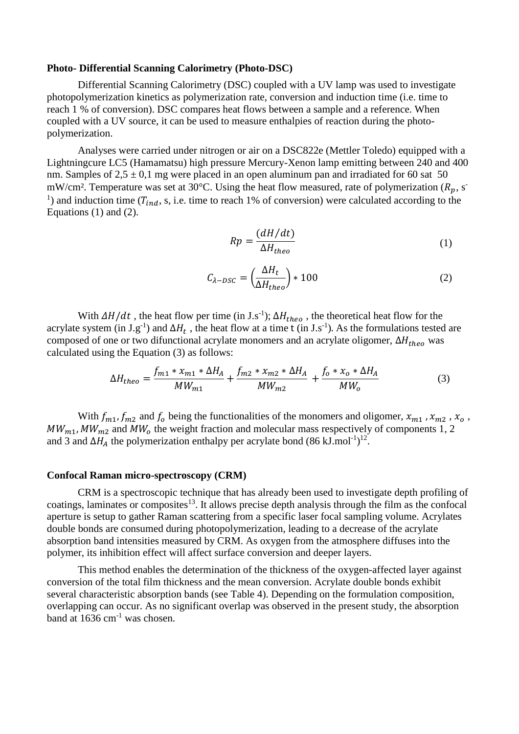#### **Photo- Differential Scanning Calorimetry (Photo-DSC)**

Differential Scanning Calorimetry (DSC) coupled with a UV lamp was used to investigate photopolymerization kinetics as polymerization rate, conversion and induction time (i.e. time to reach 1 % of conversion). DSC compares heat flows between a sample and a reference. When coupled with a UV source, it can be used to measure enthalpies of reaction during the photopolymerization.

Analyses were carried under nitrogen or air on a DSC822e (Mettler Toledo) equipped with a Lightningcure LC5 (Hamamatsu) high pressure Mercury-Xenon lamp emitting between 240 and 400 nm. Samples of  $2.5 \pm 0.1$  mg were placed in an open aluminum pan and irradiated for 60 sat 50 mW/cm². Temperature was set at 30°C. Using the heat flow measured, rate of polymerization  $(R_n, s)$ <sup>1</sup>) and induction time ( $T_{ind}$ , s, i.e. time to reach 1% of conversion) were calculated according to the Equations [\(1\)](#page-2-0) and [\(2\).](#page-2-1)

<span id="page-2-1"></span><span id="page-2-0"></span>
$$
Rp = \frac{(dH/dt)}{\Delta H_{theo}}\tag{1}
$$

<span id="page-2-2"></span>
$$
C_{\lambda- DSC} = \left(\frac{\Delta H_t}{\Delta H_{theo}}\right) * 100\tag{2}
$$

With  $\Delta H/dt$ , the heat flow per time (in J.s<sup>-1</sup>);  $\Delta H_{theo}$ , the theoretical heat flow for the acrylate system (in J.g<sup>-1</sup>) and  $\Delta H_t$ , the heat flow at a time t (in J.s<sup>-1</sup>). As the formulations tested are composed of one or two difunctional acrylate monomers and an acrylate oligomer,  $\Delta H_{theo}$  was calculated using the Equation [\(3\)](#page-2-2) as follows:

$$
\Delta H_{theo} = \frac{f_{m1} * x_{m1} * \Delta H_A}{MW_{m1}} + \frac{f_{m2} * x_{m2} * \Delta H_A}{MW_{m2}} + \frac{f_o * x_o * \Delta H_A}{MW_o}
$$
(3)

With  $f_{m1}$ ,  $f_{m2}$  and  $f_0$  being the functionalities of the monomers and oligomer,  $x_{m1}$ ,  $x_{m2}$ ,  $x_0$ ,  $MW_{m1}$ ,  $MW_{m2}$  and  $MW_{o}$  the weight fraction and molecular mass respectively of components 1, 2 and 3 and  $\Delta H_A$  the polymerization enthalpy per acrylate bond (86 kJ.mol<sup>-1</sup>)<sup>12</sup>.

## **Confocal Raman micro-spectroscopy (CRM)**

CRM is a spectroscopic technique that has already been used to investigate depth profiling of coatings, laminates or composites<sup>13</sup>. It allows precise depth analysis through the film as the confocal aperture is setup to gather Raman scattering from a specific laser focal sampling volume. Acrylates double bonds are consumed during photopolymerization, leading to a decrease of the acrylate absorption band intensities measured by CRM. As oxygen from the atmosphere diffuses into the polymer, its inhibition effect will affect surface conversion and deeper layers.

This method enables the determination of the thickness of the oxygen-affected layer against conversion of the total film thickness and the mean conversion. Acrylate double bonds exhibit several characteristic absorption bands (see [Table 4\)](#page-3-0). Depending on the formulation composition, overlapping can occur. As no significant overlap was observed in the present study, the absorption band at  $1636$  cm<sup>-1</sup> was chosen.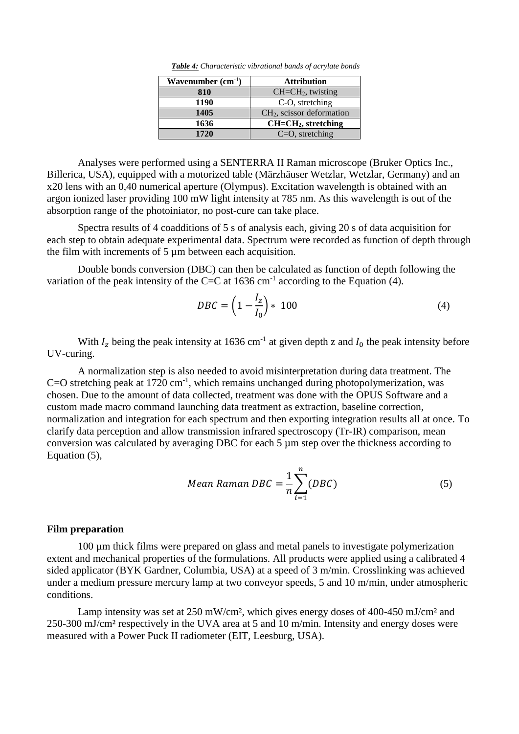|  | Table 4: Characteristic vibrational bands of acrylate bonds |  |  |  |  |
|--|-------------------------------------------------------------|--|--|--|--|
|--|-------------------------------------------------------------|--|--|--|--|

| Wavenumber $(cm-1)$ | <b>Attribution</b>          |
|---------------------|-----------------------------|
| 810                 | $CH=CH2$ , twisting         |
| 1190                | C-O, stretching             |
| 1405                | $CH2$ , scissor deformation |
| 1636                | $CH=CH2$ , stretching       |
| 1720                | $C=O$ , stretching          |

<span id="page-3-0"></span>Analyses were performed using a SENTERRA II Raman microscope (Bruker Optics Inc., Billerica, USA), equipped with a motorized table (Märzhäuser Wetzlar, Wetzlar, Germany) and an x20 lens with an 0,40 numerical aperture (Olympus). Excitation wavelength is obtained with an argon ionized laser providing 100 mW light intensity at 785 nm. As this wavelength is out of the absorption range of the photoiniator, no post-cure can take place.

Spectra results of 4 coadditions of 5 s of analysis each, giving 20 s of data acquisition for each step to obtain adequate experimental data. Spectrum were recorded as function of depth through the film with increments of 5 µm between each acquisition.

Double bonds conversion (DBC) can then be calculated as function of depth following the variation of the peak intensity of the C=C at  $1636 \text{ cm}^{-1}$  according to the Equation [\(4\).](#page-3-1)

<span id="page-3-1"></span>
$$
DBC = \left(1 - \frac{I_z}{I_0}\right) * 100\tag{4}
$$

With  $I_z$  being the peak intensity at 1636 cm<sup>-1</sup> at given depth z and  $I_0$  the peak intensity before UV-curing.

A normalization step is also needed to avoid misinterpretation during data treatment. The  $C=O$  stretching peak at 1720 cm<sup>-1</sup>, which remains unchanged during photopolymerization, was chosen. Due to the amount of data collected, treatment was done with the OPUS Software and a custom made macro command launching data treatment as extraction, baseline correction, normalization and integration for each spectrum and then exporting integration results all at once. To clarify data perception and allow transmission infrared spectroscopy (Tr-IR) comparison, mean conversion was calculated by averaging DBC for each 5 µm step over the thickness according to Equation [\(5\),](#page-3-2)

<span id="page-3-2"></span>Mean Raman DBC = 
$$
\frac{1}{n} \sum_{i=1}^{n} (DBC)
$$
 (5)

## **Film preparation**

100 µm thick films were prepared on glass and metal panels to investigate polymerization extent and mechanical properties of the formulations. All products were applied using a calibrated 4 sided applicator (BYK Gardner, Columbia, USA) at a speed of 3 m/min. Crosslinking was achieved under a medium pressure mercury lamp at two conveyor speeds, 5 and 10 m/min, under atmospheric conditions.

Lamp intensity was set at 250 mW/cm<sup>2</sup>, which gives energy doses of 400-450 mJ/cm<sup>2</sup> and 250-300 mJ/cm² respectively in the UVA area at 5 and 10 m/min. Intensity and energy doses were measured with a Power Puck II radiometer (EIT, Leesburg, USA).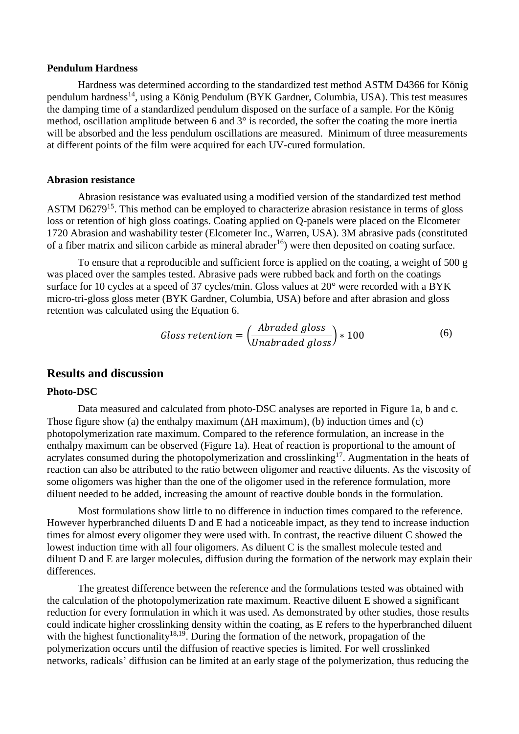## **Pendulum Hardness**

Hardness was determined according to the standardized test method ASTM D4366 for König pendulum hardness<sup>14</sup>, using a König Pendulum (BYK Gardner, Columbia, USA). This test measures the damping time of a standardized pendulum disposed on the surface of a sample. For the König method, oscillation amplitude between 6 and 3° is recorded, the softer the coating the more inertia will be absorbed and the less pendulum oscillations are measured. Minimum of three measurements at different points of the film were acquired for each UV-cured formulation.

#### **Abrasion resistance**

Abrasion resistance was evaluated using a modified version of the standardized test method ASTM D6279<sup>15</sup>. This method can be employed to characterize abrasion resistance in terms of gloss loss or retention of high gloss coatings. Coating applied on Q-panels were placed on the Elcometer 1720 Abrasion and washability tester (Elcometer Inc., Warren, USA). 3M abrasive pads (constituted of a fiber matrix and silicon carbide as mineral abrader<sup>16</sup>) were then deposited on coating surface.

To ensure that a reproducible and sufficient force is applied on the coating, a weight of 500 g was placed over the samples tested. Abrasive pads were rubbed back and forth on the coatings surface for 10 cycles at a speed of 37 cycles/min. Gloss values at 20° were recorded with a BYK micro-tri-gloss gloss meter (BYK Gardner, Columbia, USA) before and after abrasion and gloss retention was calculated using the Equation 6.

Gloss retention = 
$$
\left(\frac{Abraded \text{ gloss}}{Unabraded \text{ gloss}}\right) * 100
$$
 (6)

## **Results and discussion**

#### **Photo-DSC**

Data measured and calculated from photo-DSC analyses are reported in [Figure 1a](#page-5-0), b and c. Those figure show (a) the enthalpy maximum ( $\Delta H$  maximum), (b) induction times and (c) photopolymerization rate maximum. Compared to the reference formulation, an increase in the enthalpy maximum can be observed [\(Figure 1a](#page-5-0)). Heat of reaction is proportional to the amount of acrylates consumed during the photopolymerization and crosslinking<sup>17</sup>. Augmentation in the heats of reaction can also be attributed to the ratio between oligomer and reactive diluents. As the viscosity of some oligomers was higher than the one of the oligomer used in the reference formulation, more diluent needed to be added, increasing the amount of reactive double bonds in the formulation.

Most formulations show little to no difference in induction times compared to the reference. However hyperbranched diluents D and E had a noticeable impact, as they tend to increase induction times for almost every oligomer they were used with. In contrast, the reactive diluent C showed the lowest induction time with all four oligomers. As diluent C is the smallest molecule tested and diluent D and E are larger molecules, diffusion during the formation of the network may explain their differences.

The greatest difference between the reference and the formulations tested was obtained with the calculation of the photopolymerization rate maximum. Reactive diluent E showed a significant reduction for every formulation in which it was used. As demonstrated by other studies, those results could indicate higher crosslinking density within the coating, as E refers to the hyperbranched diluent with the highest functionality<sup>18,19</sup>. During the formation of the network, propagation of the polymerization occurs until the diffusion of reactive species is limited. For well crosslinked networks, radicals' diffusion can be limited at an early stage of the polymerization, thus reducing the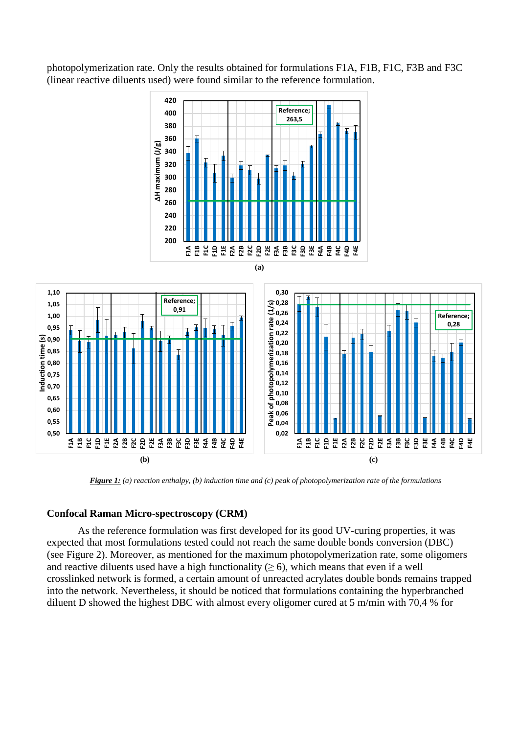photopolymerization rate. Only the results obtained for formulations F1A, F1B, F1C, F3B and F3C (linear reactive diluents used) were found similar to the reference formulation.



*Figure 1: (a) reaction enthalpy, (b) induction time and (c) peak of photopolymerization rate of the formulations*

## <span id="page-5-0"></span>**Confocal Raman Micro-spectroscopy (CRM)**

As the reference formulation was first developed for its good UV-curing properties, it was expected that most formulations tested could not reach the same double bonds conversion (DBC) (see [Figure 2\)](#page-6-0). Moreover, as mentioned for the maximum photopolymerization rate, some oligomers and reactive diluents used have a high functionality ( $\geq$  6), which means that even if a well crosslinked network is formed, a certain amount of unreacted acrylates double bonds remains trapped into the network. Nevertheless, it should be noticed that formulations containing the hyperbranched diluent D showed the highest DBC with almost every oligomer cured at 5 m/min with 70,4 % for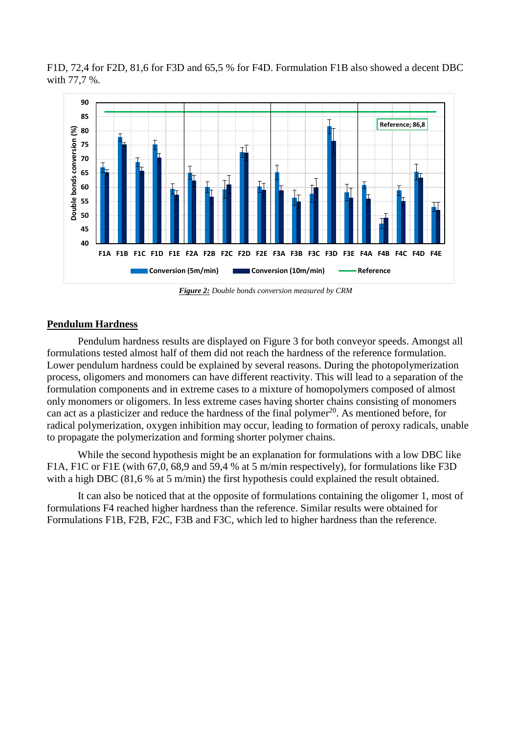

F1D, 72,4 for F2D, 81,6 for F3D and 65,5 % for F4D. Formulation F1B also showed a decent DBC with 77,7 %.

*Figure 2: Double bonds conversion measured by CRM*

## <span id="page-6-0"></span>**Pendulum Hardness**

Pendulum hardness results are displayed on [Figure 3](#page-7-0) for both conveyor speeds. Amongst all formulations tested almost half of them did not reach the hardness of the reference formulation. Lower pendulum hardness could be explained by several reasons. During the photopolymerization process, oligomers and monomers can have different reactivity. This will lead to a separation of the formulation components and in extreme cases to a mixture of homopolymers composed of almost only monomers or oligomers. In less extreme cases having shorter chains consisting of monomers can act as a plasticizer and reduce the hardness of the final polymer $^{20}$ . As mentioned before, for radical polymerization, oxygen inhibition may occur, leading to formation of peroxy radicals, unable to propagate the polymerization and forming shorter polymer chains.

While the second hypothesis might be an explanation for formulations with a low DBC like F1A, F1C or F1E (with 67,0, 68,9 and 59,4 % at 5 m/min respectively), for formulations like F3D with a high DBC (81,6 % at 5 m/min) the first hypothesis could explained the result obtained.

It can also be noticed that at the opposite of formulations containing the oligomer 1, most of formulations F4 reached higher hardness than the reference. Similar results were obtained for Formulations F1B, F2B, F2C, F3B and F3C, which led to higher hardness than the reference.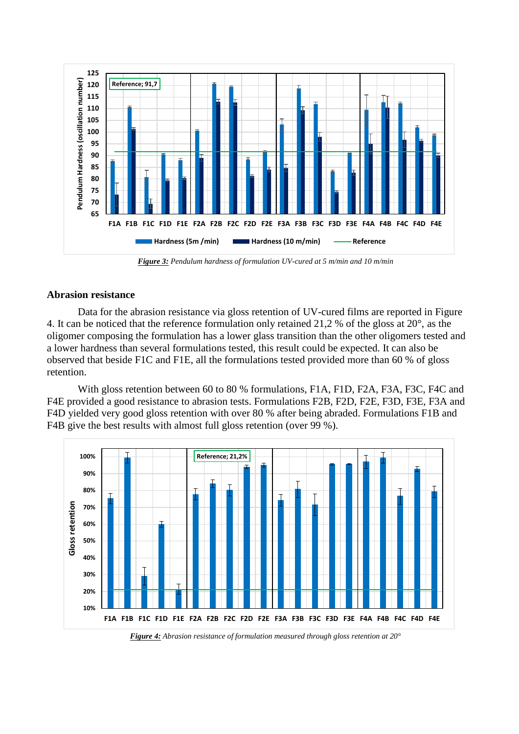

*Figure 3: Pendulum hardness of formulation UV-cured at 5 m/min and 10 m/min*

## <span id="page-7-0"></span>**Abrasion resistance**

Data for the abrasion resistance via gloss retention of UV-cured films are reported in [Figure](#page-7-1)  [4.](#page-7-1) It can be noticed that the reference formulation only retained 21,2 % of the gloss at 20°, as the oligomer composing the formulation has a lower glass transition than the other oligomers tested and a lower hardness than several formulations tested, this result could be expected. It can also be observed that beside F1C and F1E, all the formulations tested provided more than 60 % of gloss retention.

With gloss retention between 60 to 80 % formulations, F1A, F1D, F2A, F3A, F3C, F4C and F4E provided a good resistance to abrasion tests. Formulations F2B, F2D, F2E, F3D, F3E, F3A and F4D yielded very good gloss retention with over 80 % after being abraded. Formulations F1B and F4B give the best results with almost full gloss retention (over 99 %).



<span id="page-7-1"></span>*Figure 4: Abrasion resistance of formulation measured through gloss retention at 20°*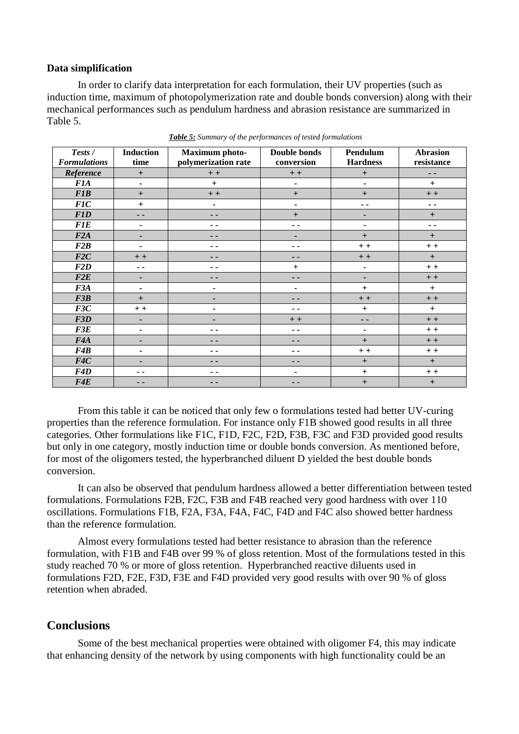## **Data simplification**

In order to clarify data interpretation for each formulation, their UV properties (such as induction time, maximum of photopolymerization rate and double bonds conversion) along with their mechanical performances such as pendulum hardness and abrasion resistance are summarized in [Table 5.](#page-8-0)

<span id="page-8-0"></span>

| Tests /             | <b>Induction</b> | <b>Maximum</b> photo- | <b>Double bonds</b>          | Pendulum                         | <b>Abrasion</b> |
|---------------------|------------------|-----------------------|------------------------------|----------------------------------|-----------------|
| <b>Formulations</b> | time             | polymerization rate   | conversion                   | <b>Hardness</b>                  | resistance      |
| Reference           | $+$              | $\, +$ $\, +$         | $\, +$ $\, +$                | $\begin{array}{c} + \end{array}$ | $\sim$ $\sim$   |
| <b>F1A</b>          | ٠                | $+$                   | $\blacksquare$               | $\blacksquare$                   | $+$             |
| <b>F1B</b>          | $+$              | $+ +$                 | $+$                          | $+$                              | $+ +$           |
| FIC                 | $+$              | ۰                     | $\qquad \qquad \blacksquare$ | ۰.                               | $\sim$ $\sim$   |
| <b>F1D</b>          | - -              | - -                   | $+$                          | ٠                                | $\ddot{}$       |
| <b>F1E</b>          | ٠                | - -                   | - -                          | $\blacksquare$                   | $\sim$          |
| F2A                 | ٠                | - -                   | ٠                            | $+$                              | $+$             |
| F2B                 | ۰                | . .                   | - -                          | $+ +$                            | $+ +$           |
| F2C                 | $+ +$            | - -                   | - -                          | $+ +$                            | $\ddot{}$       |
| F2D                 | $\sim$ $\sim$    | - -                   | $+$                          | $\blacksquare$                   | $+ +$           |
| F2E                 | ٠                | - -                   | - -                          | ٠                                | $+ +$           |
| F3A                 | ٠                | ۰                     | ۰                            | $^{+}$                           | $+$             |
| F3B                 | $+$              | -                     | - -                          | $+ +$                            | $+ +$           |
| F3C                 | $+ +$            | ۰                     | . .                          | $\ddot{}$                        | $+$             |
| F3D                 | ٠                | ٠                     | $+ +$                        | $\overline{\phantom{a}}$         | $+ +$           |
| F3E                 | ٠                | - -                   | - -                          | $\blacksquare$                   | $+ +$           |
| F4A                 | ٠                | - -                   | - -                          | $+$                              | $+ +$           |
| F4B                 | $\blacksquare$   | . .                   | - -                          | $+ +$                            | $+ +$           |
| F4C                 |                  | - -                   | - -                          | $+$                              | $+$             |
| F4D                 | - -              | - -                   | ۰                            | $\ddot{}$                        | $+ +$           |
| F4E                 | $\frac{1}{2}$    | - -                   | - -                          | $\ddot{}$                        | $+$             |

*Table 5: Summary of the performances of tested formulations*

From this table it can be noticed that only few o formulations tested had better UV-curing properties than the reference formulation. For instance only F1B showed good results in all three categories. Other formulations like F1C, F1D, F2C, F2D, F3B, F3C and F3D provided good results but only in one category, mostly induction time or double bonds conversion. As mentioned before, for most of the oligomers tested, the hyperbranched diluent D yielded the best double bonds conversion.

It can also be observed that pendulum hardness allowed a better differentiation between tested formulations. Formulations F2B, F2C, F3B and F4B reached very good hardness with over 110 oscillations. Formulations F1B, F2A, F3A, F4A, F4C, F4D and F4C also showed better hardness than the reference formulation.

Almost every formulations tested had better resistance to abrasion than the reference formulation, with F1B and F4B over 99 % of gloss retention. Most of the formulations tested in this study reached 70 % or more of gloss retention. Hyperbranched reactive diluents used in formulations F2D, F2E, F3D, F3E and F4D provided very good results with over 90 % of gloss retention when abraded.

# **Conclusions**

Some of the best mechanical properties were obtained with oligomer F4, this may indicate that enhancing density of the network by using components with high functionality could be an